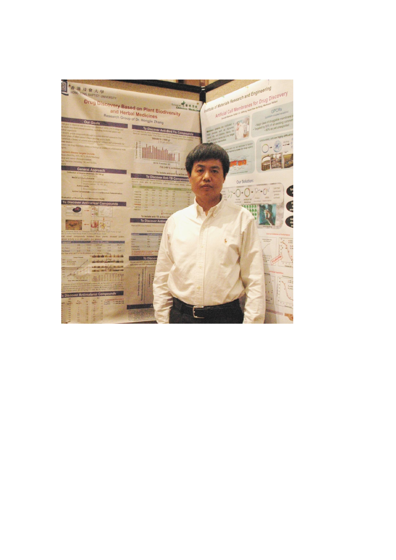